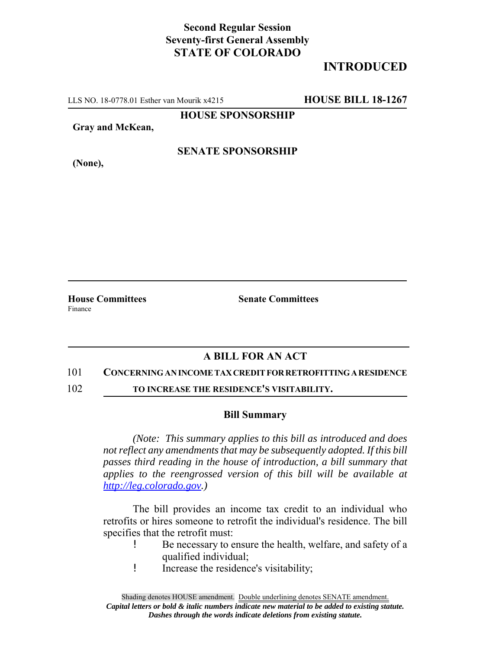# **Second Regular Session Seventy-first General Assembly STATE OF COLORADO**

# **INTRODUCED**

LLS NO. 18-0778.01 Esther van Mourik x4215 **HOUSE BILL 18-1267**

**HOUSE SPONSORSHIP**

**Gray and McKean,**

**(None),**

### **SENATE SPONSORSHIP**

Finance

**House Committees Senate Committees**

## **A BILL FOR AN ACT**

### 101 **CONCERNING AN INCOME TAX CREDIT FOR RETROFITTING A RESIDENCE**

102 **TO INCREASE THE RESIDENCE'S VISITABILITY.**

### **Bill Summary**

*(Note: This summary applies to this bill as introduced and does not reflect any amendments that may be subsequently adopted. If this bill passes third reading in the house of introduction, a bill summary that applies to the reengrossed version of this bill will be available at http://leg.colorado.gov.)*

The bill provides an income tax credit to an individual who retrofits or hires someone to retrofit the individual's residence. The bill specifies that the retrofit must:

- ! Be necessary to ensure the health, welfare, and safety of a qualified individual;
- ! Increase the residence's visitability;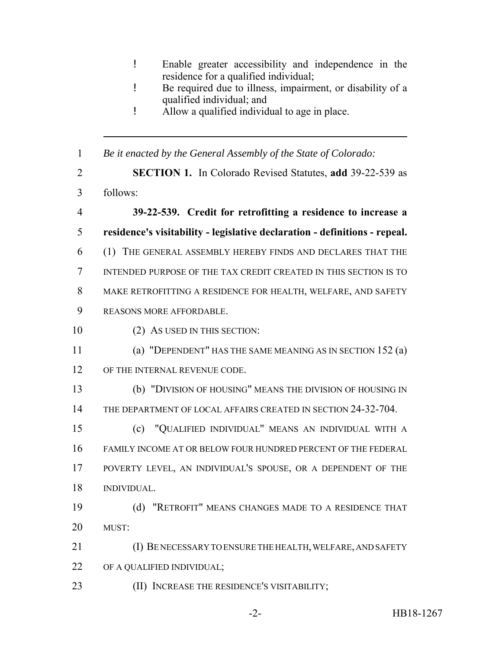- ! Enable greater accessibility and independence in the residence for a qualified individual;
- ! Be required due to illness, impairment, or disability of a qualified individual; and
- ! Allow a qualified individual to age in place.

*Be it enacted by the General Assembly of the State of Colorado:*

- **SECTION 1.** In Colorado Revised Statutes, **add** 39-22-539 as follows:
- **39-22-539. Credit for retrofitting a residence to increase a residence's visitability - legislative declaration - definitions - repeal.** (1) THE GENERAL ASSEMBLY HEREBY FINDS AND DECLARES THAT THE INTENDED PURPOSE OF THE TAX CREDIT CREATED IN THIS SECTION IS TO MAKE RETROFITTING A RESIDENCE FOR HEALTH, WELFARE, AND SAFETY
- REASONS MORE AFFORDABLE.
- 10 (2) AS USED IN THIS SECTION:
- (a) "DEPENDENT" HAS THE SAME MEANING AS IN SECTION 152 (a)
- 12 OF THE INTERNAL REVENUE CODE.
- (b) "DIVISION OF HOUSING" MEANS THE DIVISION OF HOUSING IN THE DEPARTMENT OF LOCAL AFFAIRS CREATED IN SECTION 24-32-704.
- (c) "QUALIFIED INDIVIDUAL" MEANS AN INDIVIDUAL WITH A FAMILY INCOME AT OR BELOW FOUR HUNDRED PERCENT OF THE FEDERAL POVERTY LEVEL, AN INDIVIDUAL'S SPOUSE, OR A DEPENDENT OF THE INDIVIDUAL.
- (d) "RETROFIT" MEANS CHANGES MADE TO A RESIDENCE THAT MUST:
- (I) BE NECESSARY TO ENSURE THE HEALTH, WELFARE, AND SAFETY OF A QUALIFIED INDIVIDUAL;
- (II) INCREASE THE RESIDENCE'S VISITABILITY;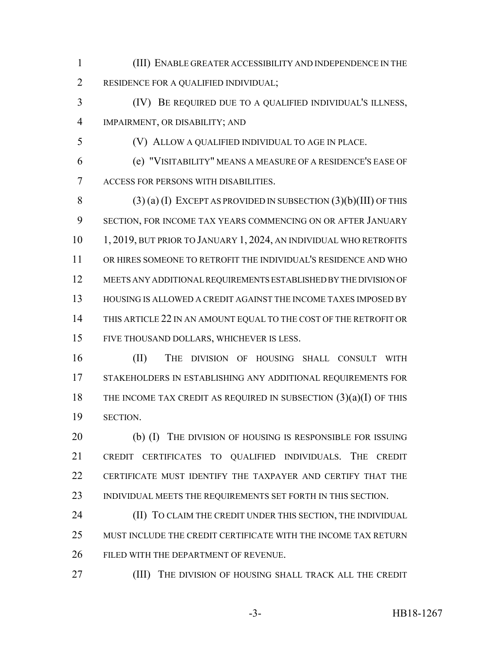(III) ENABLE GREATER ACCESSIBILITY AND INDEPENDENCE IN THE RESIDENCE FOR A QUALIFIED INDIVIDUAL;

 (IV) BE REQUIRED DUE TO A QUALIFIED INDIVIDUAL'S ILLNESS, IMPAIRMENT, OR DISABILITY; AND

(V) ALLOW A QUALIFIED INDIVIDUAL TO AGE IN PLACE.

 (e) "VISITABILITY" MEANS A MEASURE OF A RESIDENCE'S EASE OF ACCESS FOR PERSONS WITH DISABILITIES.

8 (3) (a) (I) EXCEPT AS PROVIDED IN SUBSECTION  $(3)(b)(III)$  OF THIS SECTION, FOR INCOME TAX YEARS COMMENCING ON OR AFTER JANUARY 10 1, 2019, BUT PRIOR TO JANUARY 1, 2024, AN INDIVIDUAL WHO RETROFITS OR HIRES SOMEONE TO RETROFIT THE INDIVIDUAL'S RESIDENCE AND WHO MEETS ANY ADDITIONAL REQUIREMENTS ESTABLISHED BY THE DIVISION OF HOUSING IS ALLOWED A CREDIT AGAINST THE INCOME TAXES IMPOSED BY THIS ARTICLE 22 IN AN AMOUNT EQUAL TO THE COST OF THE RETROFIT OR FIVE THOUSAND DOLLARS, WHICHEVER IS LESS.

 (II) THE DIVISION OF HOUSING SHALL CONSULT WITH STAKEHOLDERS IN ESTABLISHING ANY ADDITIONAL REQUIREMENTS FOR THE INCOME TAX CREDIT AS REQUIRED IN SUBSECTION (3)(a)(I) OF THIS SECTION.

20 (b) (I) THE DIVISION OF HOUSING IS RESPONSIBLE FOR ISSUING CREDIT CERTIFICATES TO QUALIFIED INDIVIDUALS. THE CREDIT CERTIFICATE MUST IDENTIFY THE TAXPAYER AND CERTIFY THAT THE INDIVIDUAL MEETS THE REQUIREMENTS SET FORTH IN THIS SECTION.

**(II) TO CLAIM THE CREDIT UNDER THIS SECTION, THE INDIVIDUAL**  MUST INCLUDE THE CREDIT CERTIFICATE WITH THE INCOME TAX RETURN FILED WITH THE DEPARTMENT OF REVENUE.

(III) THE DIVISION OF HOUSING SHALL TRACK ALL THE CREDIT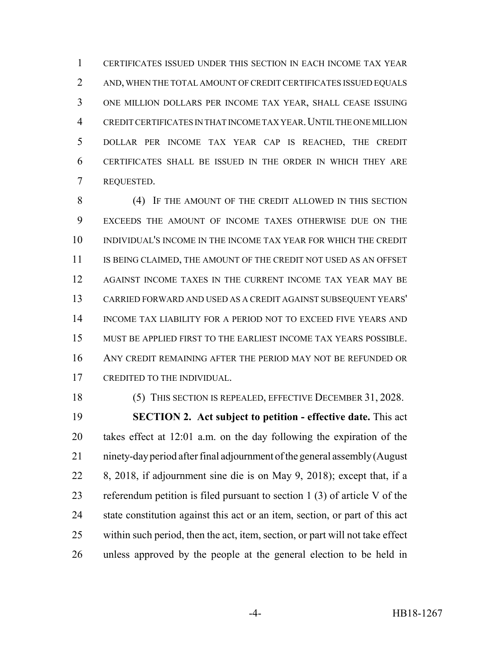CERTIFICATES ISSUED UNDER THIS SECTION IN EACH INCOME TAX YEAR AND, WHEN THE TOTAL AMOUNT OF CREDIT CERTIFICATES ISSUED EQUALS ONE MILLION DOLLARS PER INCOME TAX YEAR, SHALL CEASE ISSUING CREDIT CERTIFICATES IN THAT INCOME TAX YEAR.UNTIL THE ONE MILLION DOLLAR PER INCOME TAX YEAR CAP IS REACHED, THE CREDIT CERTIFICATES SHALL BE ISSUED IN THE ORDER IN WHICH THEY ARE REQUESTED.

 (4) IF THE AMOUNT OF THE CREDIT ALLOWED IN THIS SECTION EXCEEDS THE AMOUNT OF INCOME TAXES OTHERWISE DUE ON THE INDIVIDUAL'S INCOME IN THE INCOME TAX YEAR FOR WHICH THE CREDIT 11 IS BEING CLAIMED, THE AMOUNT OF THE CREDIT NOT USED AS AN OFFSET 12 AGAINST INCOME TAXES IN THE CURRENT INCOME TAX YEAR MAY BE CARRIED FORWARD AND USED AS A CREDIT AGAINST SUBSEQUENT YEARS' INCOME TAX LIABILITY FOR A PERIOD NOT TO EXCEED FIVE YEARS AND MUST BE APPLIED FIRST TO THE EARLIEST INCOME TAX YEARS POSSIBLE. ANY CREDIT REMAINING AFTER THE PERIOD MAY NOT BE REFUNDED OR CREDITED TO THE INDIVIDUAL.

(5) THIS SECTION IS REPEALED, EFFECTIVE DECEMBER 31, 2028.

 **SECTION 2. Act subject to petition - effective date.** This act takes effect at 12:01 a.m. on the day following the expiration of the ninety-day period after final adjournment of the general assembly (August 8, 2018, if adjournment sine die is on May 9, 2018); except that, if a referendum petition is filed pursuant to section 1 (3) of article V of the state constitution against this act or an item, section, or part of this act within such period, then the act, item, section, or part will not take effect unless approved by the people at the general election to be held in